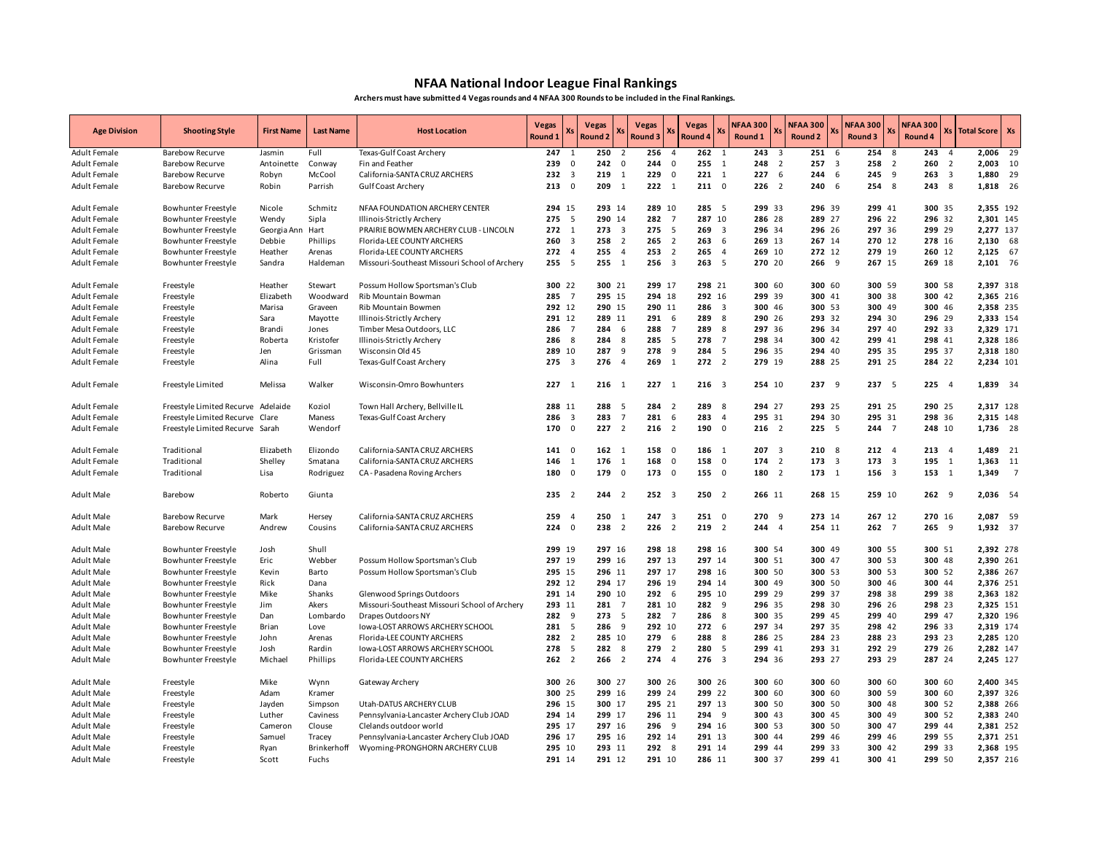## **NFAA National Indoor League Final Rankings**

**Archers must have submitted 4 Vegas rounds and 4 NFAA 300 Rounds to be included in the Final Rankings.** 

| <b>Age Division</b> | <b>Shooting Style</b>              | <b>First Name</b> | <b>Last Name</b> | <b>Host Location</b>                          | <b>Vegas</b><br><b>Round 1</b> |                         | <b>Vegas</b><br><b>Round 2</b> | Хs                      | <b>Vegas</b><br>Xs<br>Round <sub>3</sub> | Round 4                 | <b>Vegas</b><br>X.              | <b>NFAA 300</b><br>Round 1 | Xs                      | <b>NFAA 300</b><br>Round 2 |                         | <b>NFAA 300</b><br>Xs<br>Round 3 | <b>NFAA 300</b><br>Round 4 |                         | <b>Xs Total Score</b> | Xs             |
|---------------------|------------------------------------|-------------------|------------------|-----------------------------------------------|--------------------------------|-------------------------|--------------------------------|-------------------------|------------------------------------------|-------------------------|---------------------------------|----------------------------|-------------------------|----------------------------|-------------------------|----------------------------------|----------------------------|-------------------------|-----------------------|----------------|
| Adult Female        | <b>Barebow Recurve</b>             | Jasmin            | Full             | Texas-Gulf Coast Archery                      | 247                            | 1                       | 250                            | $\overline{2}$          | 256                                      | $\overline{4}$          | 262<br>1                        | 243                        | $\overline{\mathbf{3}}$ | 251                        | 6                       | 254                              | 8<br>243                   | $\overline{4}$          | 2,006 29              |                |
| <b>Adult Female</b> | <b>Barebow Recurve</b>             | Antoinette        | Conway           | Fin and Feather                               | 239                            | $\mathbf 0$             | 242                            | $\overline{0}$          | 244                                      | $\overline{0}$          | 255<br>$\mathbf{1}$             | 248                        | $\overline{2}$          | 257                        | $\overline{\mathbf{3}}$ | 258 2                            | 260                        | $\overline{2}$          | 2,003                 | 10             |
| <b>Adult Female</b> | <b>Barebow Recurve</b>             | Robyn             | McCool           | California-SANTA CRUZ ARCHERS                 | 232                            | $\overline{\mathbf{3}}$ | 219                            | 1                       | 229                                      | $\mathbf 0$             | 221<br>$\overline{1}$           | 227                        | 6                       | 244                        | 6                       | 245 9                            | 263                        | $\overline{\mathbf{3}}$ | 1,880                 | 29             |
| <b>Adult Female</b> | <b>Barebow Recurve</b>             | Robin             | Parrish          | <b>Gulf Coast Archery</b>                     | 213                            | $\overline{0}$          | 209                            | 1                       | $222 \t1$                                |                         | 2110                            |                            | $226$ 2                 | 240                        | - 6                     | 254 8                            | 243                        | 8                       | 1,818 26              |                |
| Adult Female        | Bowhunter Freestyle                | Nicole            | Schmitz          | NFAA FOUNDATION ARCHERY CENTER                | 294 15                         |                         | 293 14                         |                         | 289 10                                   |                         | 285<br>$\overline{\phantom{0}}$ |                            | 299 33                  | 296 39                     |                         | 299 41                           |                            | 300 35                  | 2,355 192             |                |
| Adult Female        | Bowhunter Freestyle                | Wendy             | Sipla            | Illinois-Strictly Archery                     | 275                            | 5                       | 290 14                         |                         | 282<br>$\overline{7}$                    |                         | 287 10                          |                            | 286 28                  | 289 27                     |                         | 296 22                           |                            | 296 32                  | 2,301 145             |                |
| Adult Female        | Bowhunter Freestyle                | Georgia Ann       | Hart             | PRAIRIE BOWMEN ARCHERY CLUB - LINCOLN         | 272                            | $\overline{1}$          | $273 \t3$                      |                         | 275                                      | 5                       | 269<br>$\overline{\mathbf{3}}$  |                            | 296 34                  | 296 26                     |                         | 297 36                           |                            | 299 29                  | 2,277 137             |                |
| Adult Female        | Bowhunter Freestyle                | Debbie            | Phillips         | Florida-LEE COUNTY ARCHERS                    | 260                            | $\overline{\mathbf{3}}$ | 258                            | $\overline{2}$          | 265                                      | $\overline{2}$          | 263                             | 6                          | 269 13                  | 267 14                     |                         | 270 12                           |                            | 278 16                  | 2,130 68              |                |
| Adult Female        | Bowhunter Freestyle                | Heather           | Arenas           | Florida-LEE COUNTY ARCHERS                    | 272 4                          |                         | 255                            | $\overline{4}$          | 253                                      | $\overline{2}$          | 265<br>$\overline{4}$           |                            | 269 10                  | 272 12                     |                         | 279 19                           |                            | 260 12                  | 2,125 67              |                |
| Adult Female        | Bowhunter Freestyle                | Sandra            | Haldeman         | Missouri-Southeast Missouri School of Archery | 255 5                          |                         | 255 1                          |                         | $256 \quad 3$                            |                         | 263, 5                          |                            | 270 20                  | 266 9                      |                         | 267 15                           |                            | 269 18                  | 2,101 76              |                |
| <b>Adult Female</b> | Freestyle                          | Heather           | Stewart          | Possum Hollow Sportsman's Club                | 300 22                         |                         | 300 21                         |                         | 299 17                                   |                         | 298 21                          |                            | 300 60                  | 300 60                     |                         | 300 59                           |                            | 300 58                  | 2,397 318             |                |
| <b>Adult Female</b> | Freestyle                          | Elizabeth         | Woodward         | <b>Rib Mountain Bowman</b>                    | 285 7                          |                         | 295 15                         |                         | 294 18                                   |                         | 292 16                          |                            | 299 39                  | 300 41                     |                         | 300 38                           |                            | 300 42                  | 2.365 216             |                |
| <b>Adult Female</b> | Freestyle                          | Marisa            | Graveen          | Rib Mountain Bowmen                           | 292 12                         |                         | 290 15                         |                         | 290 11                                   |                         | 286<br>$\overline{\mathbf{3}}$  |                            | 300 46                  | 300 53                     |                         | 300 49                           |                            | 300 46                  | 2,358 235             |                |
| <b>Adult Female</b> | Freestyle                          | Sara              | Mayotte          | Illinois-Strictly Archery                     | 291 12                         |                         | 289 11                         |                         | 291<br>6                                 |                         | 289<br>-8                       |                            | 290 26                  | 293 32                     |                         | 294 30                           |                            | 296 29                  | 2,333 154             |                |
| Adult Female        | Freestyle                          | Brandi            | Jones            | Timber Mesa Outdoors, LLC                     | 286                            | $\overline{7}$          | 284                            | - 6                     | 288                                      | $\overline{7}$          | 289                             | 8                          | 297 36                  | 296 34                     |                         | 297 40                           |                            | 292 33                  | 2.329 171             |                |
| Adult Female        | Freestyle                          | Roberta           | Kristofer        | Illinois-Strictly Archery                     | 286 8                          |                         | 284                            | 8                       | 285<br>5                                 |                         | 278<br>$\overline{7}$           |                            | 298 34                  | 300 42                     |                         | 299 41                           |                            | 298 41                  | 2,328 186             |                |
| Adult Female        | Freestyle                          | Jen               | Grissman         | Wisconsin Old 45                              | 289 10                         |                         | 287                            | 9                       | 278                                      | 9                       | 284<br>5                        |                            | 296 35                  | 294 40                     |                         | 295 35                           |                            | 295 37                  | 2,318 180             |                |
| Adult Female        | Freestyle                          | Alina             | Full             | Texas-Gulf Coast Archery                      | 275                            | $\overline{\mathbf{3}}$ | 276                            | $\overline{4}$          | 269<br>$\overline{1}$                    |                         | $\overline{2}$<br>272           |                            | 279 19                  | 288 25                     |                         | 291 25                           |                            | 284 22                  | 2,234 101             |                |
| Adult Female        | Freestyle Limited                  | Melissa           | Walker           | Wisconsin-Omro Bowhunters                     | $227 \t1$                      |                         | $216 \t1$                      |                         | $227 \t1$                                |                         | $216 \t3$                       |                            | 254 10                  | 237 9                      |                         | 237 5                            |                            | 225 4                   | 1,839 34              |                |
| <b>Adult Female</b> | Freestyle Limited Recurve Adelaide |                   | Koziol           | Town Hall Archery, Bellville IL               | 288 11                         |                         | 288 5                          |                         | 284<br>$\overline{2}$                    |                         | 289<br>8                        |                            | 294 27                  | 293 25                     |                         | 291 25                           |                            | 290 25                  | 2,317 128             |                |
| <b>Adult Female</b> | Freestyle Limited Recurve Clare    |                   | Maness           | Texas-Gulf Coast Archery                      | 286                            | $\overline{\mathbf{3}}$ | 283                            | $\overline{7}$          | 281                                      | - 6                     | 283<br>$\overline{4}$           |                            | 295 31                  | 294 30                     |                         | 295 31                           |                            | 298 36                  | 2,315 148             |                |
| <b>Adult Female</b> | Freestyle Limited Recurve Sarah    |                   | Wendorf          |                                               | 170                            | $\overline{0}$          | $227$ 2                        |                         | 216<br>$\overline{2}$                    |                         | 190<br>$\overline{\mathbf{0}}$  |                            | $216$ 2                 | 225 5                      |                         | 244 7                            |                            | 248 10                  | 1,736 28              |                |
| Adult Female        | Traditional                        | Elizabeth         | Elizondo         | California-SANTA CRUZ ARCHERS                 | 141                            | 0                       | $162 \quad 1$                  |                         | 158                                      | $\overline{\mathbf{0}}$ | 186<br>$\overline{1}$           | 207                        | $\overline{\mathbf{3}}$ | 210                        | 8                       | $212 - 4$                        | 213                        | $\overline{4}$          | 1,489 21              |                |
| Adult Female        | Traditional                        | Shelley           | Smatana          | California-SANTA CRUZ ARCHERS                 | 146                            | $\mathbf{1}$            | 176                            | 1                       | 168                                      | $\overline{\mathbf{0}}$ | 158<br>$\overline{\mathbf{0}}$  |                            | 174 2                   | 173                        | $\overline{\mathbf{3}}$ | 173 3                            | 195                        | $\overline{1}$          | 1,363 11              |                |
| Adult Female        | Traditional                        | Lisa              | Rodriguez        | CA - Pasadena Roving Archers                  | 180                            | 0                       | 179                            | $\overline{\mathbf{0}}$ | 173                                      | $\overline{\mathbf{0}}$ | 155<br>$\overline{\mathbf{0}}$  |                            | 180 2                   | 173 1                      |                         | 156 3                            |                            | 153 1                   | 1,349                 | $\overline{7}$ |
| Adult Male          | Barebow                            | Roberto           | Giunta           |                                               | 235                            | $\overline{2}$          | 244                            | $\overline{2}$          | $252 \t3$                                |                         | 250<br>$\overline{2}$           |                            | 266 11                  | 268 15                     |                         | 259 10                           |                            | 2629                    | 2,036 54              |                |
| Adult Male          | <b>Barebow Recurve</b>             | Mark              | Hersey           | California-SANTA CRUZ ARCHERS                 | 259                            | $\overline{4}$          | 250                            | <sup>1</sup>            | 247                                      | $\overline{\mathbf{3}}$ | 2510                            |                            | 270 9                   | 273 14                     |                         | 267 12                           |                            | 270 16                  | 2,087 59              |                |
| <b>Adult Male</b>   | <b>Barebow Recurve</b>             | Andrew            | Cousins          | California-SANTA CRUZ ARCHERS                 | 224                            | $\mathbf{0}$            | 238                            | $\overline{2}$          | 226                                      | $\overline{2}$          | 219<br>$\overline{2}$           |                            | 244 4                   | 254 11                     |                         | $262 \t 7$                       |                            | 265 9                   | 1,932 37              |                |
| Adult Male          | Bowhunter Freestyle                | Josh              | Shull            |                                               | 299 19                         |                         | 297 16                         |                         | 298 18                                   |                         | 298 16                          |                            | 300 54                  | 300 49                     |                         | 300 55                           |                            | 300 51                  | 2.392 278             |                |
| Adult Male          | Bowhunter Freestyle                | Eric              | Webber           | Possum Hollow Sportsman's Club                | 297 19                         |                         | 299 16                         |                         | 297 13                                   |                         | 297 14                          |                            | 300 51                  | 300 47                     |                         | 300 53                           |                            | 300 48                  | 2.390 261             |                |
| Adult Male          | Bowhunter Freestyle                | Kevin             | Barto            | Possum Hollow Sportsman's Club                | 295 15                         |                         | 296 11                         |                         | 297 17                                   |                         | 298 16                          |                            | 300 50                  | 300 53                     |                         | 300 53                           |                            | 300 52                  | 2,386 267             |                |
| Adult Male          | Bowhunter Freestyle                | Rick              | Dana             |                                               | 292 12                         |                         | 294 17                         |                         | 296 19                                   |                         | 294 14                          |                            | 300 49                  | 300 50                     |                         | 300 46                           |                            | 300 44                  | 2,376 251             |                |
| Adult Male          | Bowhunter Freestyle                | Mike              | Shanks           | Glenwood Springs Outdoors                     | 291 14                         |                         | 290 10                         |                         | 2926                                     |                         | 295 10                          |                            | 299 29                  | 299 37                     |                         | 298 38                           |                            | 299 38                  | 2,363 182             |                |
| Adult Male          | Bowhunter Freestyle                | Jim               | Akers            | Missouri-Southeast Missouri School of Archery | 293 11                         |                         | 281 7                          |                         | 281 10                                   |                         | 282 9                           |                            | 296 35                  | 298 30                     |                         | 296 26                           |                            | 298 23                  | 2,325 151             |                |
| Adult Male          | Bowhunter Freestyle                | Dan               | Lombardo         | Drapes Outdoors NY                            | 282 9                          |                         | 273 5                          |                         | 282<br>$\overline{7}$                    |                         | 286<br>8                        |                            | 300 35                  | 299 45                     |                         | 299 40                           |                            | 299 47                  | 2,320 196             |                |
| Adult Male          | Bowhunter Freestyle                | Brian             | Love             | Iowa-LOST ARROWS ARCHERY SCHOOL               | 281 5                          |                         | 286                            | 9                       | 292 10                                   |                         | 272<br>6                        |                            | 297 34                  | 297 35                     |                         | 298 42                           |                            | 296 33                  | 2,319 174             |                |
| Adult Male          | Bowhunter Freestyle                | John              | Arenas           | Florida-LEE COUNTY ARCHERS                    | 282                            | $\overline{2}$          | 285 10                         |                         | 279                                      | - 6                     | 288<br>8                        |                            | 286 25                  | 284 23                     |                         | 288 23                           |                            | 293 23                  | 2,285 120             |                |
| <b>Adult Male</b>   | Bowhunter Freestyle                | Josh              | Rardin           | Iowa-LOST ARROWS ARCHERY SCHOOL               | 278                            | 5                       | 282 8                          |                         | 279<br>$\overline{2}$                    |                         | 280<br>5                        |                            | 299 41                  | 293 31                     |                         | 292 29                           |                            | 279 26                  | 2,282 147             |                |
| <b>Adult Male</b>   | Bowhunter Freestyle                | Michael           | Phillips         | Florida-LEE COUNTY ARCHERS                    | $262 \t2$                      |                         | $266 \t2$                      |                         | 274                                      | $\overline{4}$          | 276<br>$\overline{\mathbf{3}}$  |                            | 294 36                  | 293 27                     |                         | 293 29                           |                            | 287 24                  | 2,245 127             |                |
| <b>Adult Male</b>   | Freestyle                          | Mike              | Wynn             | Gateway Archery                               | 300 26                         |                         | 300 27                         |                         | 300 26                                   |                         | 300 26                          |                            | 300 60                  | 300 60                     |                         | 300 60                           |                            | 300 60                  | 2,400 345             |                |
| Adult Male          | Freestyle                          | Adam              | Kramer           |                                               | 300 25                         |                         | 299 16                         |                         | 299 24                                   |                         | 299 22                          |                            | 300 60                  | 300 60                     |                         | 300 59                           |                            | 300 60                  | 2,397 326             |                |
| Adult Male          | Freestyle                          | Jayden            | Simpson          | Utah-DATUS ARCHERY CLUB                       | 296 15                         |                         | 300 17                         |                         | 295 21                                   |                         | 297 13                          |                            | 300 50                  | 300 50                     |                         | 300 48                           |                            | 300 52                  | 2,388 266             |                |
| Adult Male          | Freestyle                          | Luther            | Caviness         | Pennsylvania-Lancaster Archery Club JOAD      | 294 14                         |                         | 299 17                         |                         | 296 11                                   |                         | 294<br>- 9                      |                            | 300 43                  | 300 45                     |                         | 300 49                           |                            | 300 52                  | 2,383 240             |                |
| Adult Male          | Freestyle                          | Cameron           | Clouse           | Clelands outdoor world                        | 295 17                         |                         | 297 16                         |                         | 296 9                                    |                         | 294 16                          |                            | 300 53                  | 300 50                     |                         | 300 47                           |                            | 299 44                  | 2,381 252             |                |
| <b>Adult Male</b>   | Freestyle                          | Samuel            | Tracey           | Pennsylvania-Lancaster Archery Club JOAD      | 296 17                         |                         | 295 16                         |                         | 292 14                                   |                         | 291 13                          |                            | 300 44                  | 299 46                     |                         | 299 46                           |                            | 299 55                  | 2,371 251             |                |
| Adult Male          | Freestyle                          | Ryan              | Brinkerhoff      | Wyoming-PRONGHORN ARCHERY CLUB                | 295 10                         |                         | 293 11                         |                         | 292 8                                    |                         | 291 14                          |                            | 299 44                  | 299 33                     |                         | 300 42                           |                            | 299 33                  | 2,368 195             |                |
| <b>Adult Male</b>   | Freestyle                          | Scott             | Fuchs            |                                               | 291 14                         |                         | 291 12                         |                         | 291 10                                   |                         | 286 11                          |                            | 300 37                  | 299 41                     |                         | 300 41                           |                            | 299 50                  | 2,357 216             |                |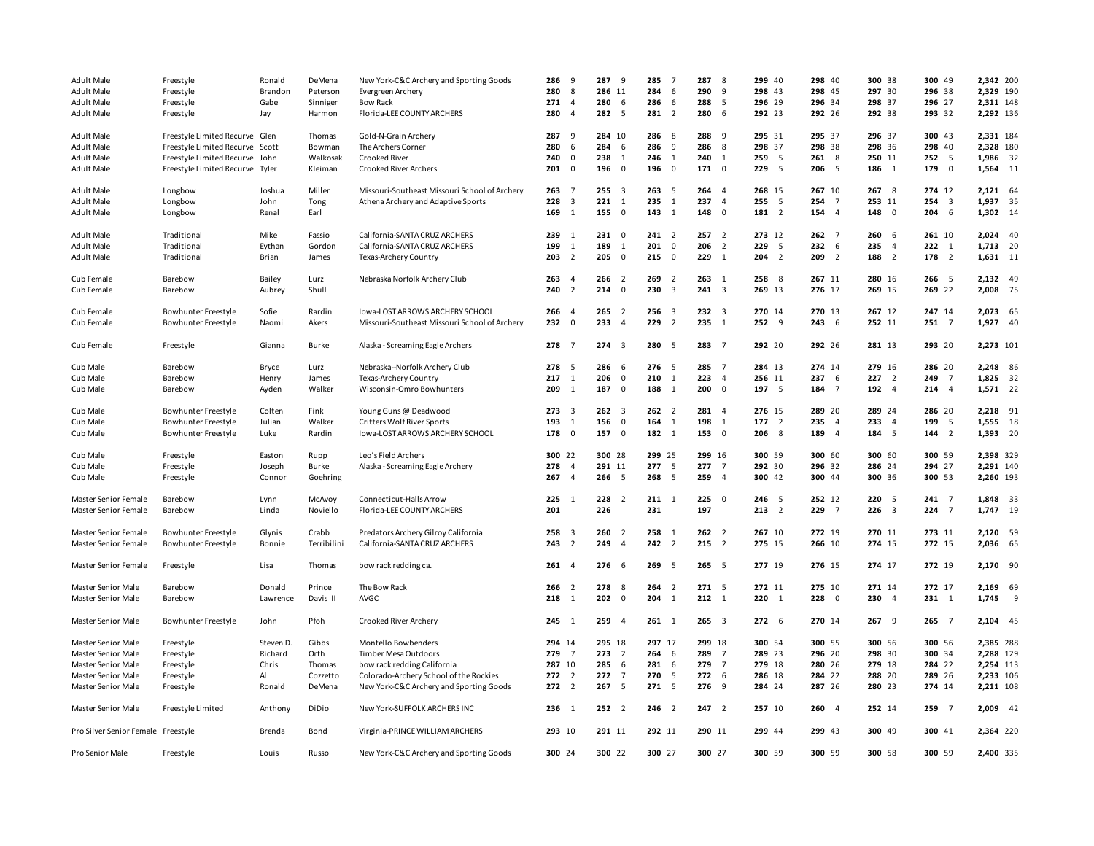| <b>Adult Male</b>                            | Freestyle                       | Ronald       | DeMena      | New York-C&C Archery and Sporting Goods       | 286           | 9                       | 287           | 9                       | 285           | $\overline{7}$           | 287<br>8                        | 299 40    | 298 40           |                | 300 38    | 300 49                         | 2,342 200 |     |
|----------------------------------------------|---------------------------------|--------------|-------------|-----------------------------------------------|---------------|-------------------------|---------------|-------------------------|---------------|--------------------------|---------------------------------|-----------|------------------|----------------|-----------|--------------------------------|-----------|-----|
| <b>Adult Male</b>                            | Freestyle                       | Brandon      | Peterson    | Evergreen Archery                             | 280           | 8                       | 286 11        |                         | 284           | 6                        | 290<br>9                        | 298 43    | 298 45           |                | 297 30    | 296 38                         | 2,329 190 |     |
| <b>Adult Male</b>                            | Freestyle                       | Gabe         | Sinniger    | <b>Bow Rack</b>                               | 271           | $\overline{4}$          | 280           | 6                       | 286           | 6                        | 288<br>5                        | 296 29    | 296 34           |                | 298 37    | 296 27                         | 2,311 148 |     |
| <b>Adult Male</b>                            | Freestyle                       | Jay          | Harmon      | Florida-LEE COUNTY ARCHERS                    | 280           | $\overline{4}$          | 282 5         |                         | 281           | $\overline{2}$           | 280<br>- 6                      | 292 23    | 292 26           |                | 292 38    | 293 32                         | 2,292 136 |     |
|                                              |                                 |              |             |                                               |               |                         |               |                         |               |                          |                                 |           |                  |                |           |                                |           |     |
| <b>Adult Male</b>                            | Freestyle Limited Recurve Glen  |              | Thomas      | Gold-N-Grain Archery                          | 287           | 9                       | 284 10        |                         | 286           | - 8                      | 288<br>- 9                      | 295 31    | 295 37           |                | 296 37    | 300 43                         | 2,331 184 |     |
| <b>Adult Male</b>                            | Freestyle Limited Recurve Scott |              | Bowman      | The Archers Corner                            | 280           | 6                       | 284           | 6                       | 286           | 9                        | 286<br>8                        | 298 37    | 298 38           |                | 298 36    | 298 40                         | 2,328 180 |     |
| <b>Adult Male</b>                            | Freestyle Limited Recurve John  |              | Walkosak    | <b>Crooked River</b>                          | 240           | $\overline{\mathbf{0}}$ | 238           | $\mathbf{1}$            | 246           | 1                        | 240<br>$\overline{1}$           | 259 5     | 2618             |                | 250 11    | 252 5                          | 1,986 32  |     |
| Adult Male                                   | Freestyle Limited Recurve Tyler |              | Kleiman     | Crooked River Archers                         | 201           | $\overline{\mathbf{0}}$ | 196           | $\overline{\mathbf{0}}$ | 196           | $\overline{\mathbf{0}}$  | 171<br>$\overline{\mathbf{0}}$  | 229 5     | 206 5            |                | 186 1     | 179<br>$\overline{\mathbf{0}}$ | 1,564 11  |     |
|                                              |                                 |              |             |                                               |               |                         |               |                         |               |                          |                                 |           |                  |                |           |                                |           |     |
| <b>Adult Male</b>                            | Longbow                         | Joshua       | Miller      | Missouri-Southeast Missouri School of Archery | 263           | $\overline{7}$          | $255 \quad 3$ |                         | 263           | 5                        | 264<br>$\overline{4}$           | 268 15    | 267 10           |                | 267 8     | 274 12                         | 2,121 64  |     |
| <b>Adult Male</b>                            | Longbow                         | John         | Tong        | Athena Archery and Adaptive Sports            | 228           | $\overline{\mathbf{3}}$ | 221           | $\overline{1}$          | 235           | $\mathbf{1}$             | 237<br>$\overline{4}$           | 255 5     | 254              | $\overline{7}$ | 253 11    | 254<br>$\overline{\mathbf{3}}$ | 1,937 35  |     |
| <b>Adult Male</b>                            | Longbow                         | Renal        | Earl        |                                               | 169           | 1                       | 155           | $\overline{\mathbf{0}}$ | 143           | $\overline{1}$           | 148<br>$\overline{\mathbf{0}}$  | 181 2     | 154              | $\overline{4}$ | 148 0     | 204<br>6                       | 1,302 14  |     |
|                                              |                                 |              |             |                                               |               |                         |               |                         |               |                          |                                 |           |                  |                |           |                                |           |     |
| <b>Adult Male</b>                            | Traditional                     | Mike         | Fassio      | California-SANTA CRUZ ARCHERS                 | 239           | 1                       | 231           | $\overline{\mathbf{0}}$ | $241$ 2       |                          | 257<br>$\overline{2}$           | 273 12    | $262 \t 7$       |                | 2606      | 261 10                         | 2,024 40  |     |
| Adult Male                                   | Traditional                     | Eythan       | Gordon      | California-SANTA CRUZ ARCHERS                 | 199           | 1                       | 189           | 1                       | 201           | $\overline{\mathbf{0}}$  | 206<br>$\overline{2}$           | 229 5     | 232 6            |                | 235 4     | $222 \t1$                      | 1,713 20  |     |
| Adult Male                                   | Traditional                     | Brian        | James       | Texas-Archery Country                         | 203           | $\overline{2}$          | 205           | $\overline{\mathbf{0}}$ | 215           | $\mathbf 0$              | 229<br>$\mathbf{1}$             | $204$ 2   | 209              | $\overline{2}$ | 188 2     | 178<br>$\overline{2}$          | 1,631 11  |     |
|                                              |                                 |              |             |                                               |               |                         |               |                         |               |                          |                                 |           |                  |                |           |                                |           |     |
| Cub Female                                   | Barebow                         | Bailey       | Lurz        | Nebraska Norfolk Archery Club                 | 263           | $\overline{4}$          | 266           | $\overline{2}$          | 269           | $\overline{2}$           | 263<br>$\overline{1}$           | 258 8     | 267 11           |                | 280 16    | 266 5                          | 2,132 49  |     |
| Cub Female                                   | Barebow                         | Aubrey       | Shull       |                                               | 240           | $\overline{2}$          | 214           | $\overline{\mathbf{0}}$ | 230           | $\overline{\mathbf{3}}$  | 241<br>$\overline{\mathbf{3}}$  | 269 13    | 276 17           |                | 269 15    | 269 22                         | 2,008 75  |     |
|                                              |                                 |              |             |                                               |               |                         |               |                         |               |                          |                                 |           |                  |                |           |                                |           |     |
| Cub Female                                   | Bowhunter Freestyle             | Sofie        | Rardin      | Iowa-LOST ARROWS ARCHERY SCHOOL               | 266           | $\overline{4}$          | 265           | $\overline{2}$          | 256           | 3                        | 232<br>$\overline{\mathbf{3}}$  | 270 14    | 270 13           |                | 267 12    | 247 14                         | 2,073 65  |     |
| Cub Female                                   | Bowhunter Freestyle             | Naomi        | Akers       | Missouri-Southeast Missouri School of Archery | 232           | $\overline{\mathbf{0}}$ | 233           | $\overline{4}$          | 229           | $\overline{2}$           | 235<br>$\mathbf{1}$             | 252 9     | 2436             |                | 252 11    | 251 7                          | 1,927 40  |     |
|                                              |                                 |              |             |                                               |               |                         |               |                         |               |                          |                                 |           |                  |                |           |                                |           |     |
| Cub Female                                   | Freestyle                       | Gianna       | Burke       | Alaska - Screaming Eagle Archers              | 278 7         |                         | $274 - 3$     |                         | 280           | $\overline{\phantom{0}}$ | 283 7                           | 292 20    | 292 26           |                | 281 13    | 293 20                         | 2,273 101 |     |
|                                              |                                 |              |             |                                               |               |                         |               |                         |               |                          |                                 |           |                  |                |           |                                |           |     |
| Cub Male                                     | Barebow                         | <b>Bryce</b> | Lurz        | Nebraska--Norfolk Archery Club                | 278           | $-5$                    | 286           | - 6                     | 276           | - 5                      | 285<br>$\overline{7}$           | 284 13    | 274 14           |                | 279 16    | 286 20                         | 2,248 86  |     |
| Cub Male                                     | Barebow                         | Henry        | James       | Texas-Archery Country                         | 217           | 1                       | 206           | $\overline{\mathbf{0}}$ | 210           | 1                        | 223<br>$\overline{4}$           | 256 11    | 237 6            |                | $227$ 2   | 249<br>$\overline{7}$          | 1,825 32  |     |
| Cub Male                                     | Barebow                         | Ayden        | Walker      | Wisconsin-Omro Bowhunters                     | 209           | 1                       | 187           | $\overline{\mathbf{0}}$ | 188           | $\overline{1}$           | 200<br>$\overline{\mathbf{0}}$  | 197 5     | 184 7            |                | 192 4     | 214 4                          | 1,571 22  |     |
|                                              |                                 |              |             |                                               |               |                         |               |                         |               |                          |                                 |           |                  |                |           |                                |           |     |
| Cub Male                                     | Bowhunter Freestyle             | Colten       | Fink        | Young Guns @ Deadwood                         | $273 \quad 3$ |                         | $262 \quad 3$ |                         | 262           | $\overline{2}$           | 281<br>$\overline{4}$           | 276 15    | 289 20           |                | 289 24    | 286 20                         | 2,218 91  |     |
| Cub Male                                     | Bowhunter Freestyle             | Julian       | Walker      | Critters Wolf River Sports                    | 193           | 1                       | 156           | $\mathbf 0$             | 164           | 1                        | 198<br>1                        | 177 2     | 235 4            |                | 233 4     | 199<br>5                       | 1,555 18  |     |
|                                              |                                 |              |             |                                               |               | $\overline{0}$          |               | $\overline{0}$          |               |                          |                                 |           | 189 4            |                |           | 144<br>$\overline{2}$          |           |     |
| Cub Male                                     | Bowhunter Freestyle             | Luke         | Rardin      | Iowa-LOST ARROWS ARCHERY SCHOOL               | 178           |                         | 157           |                         | 182 1         |                          | 153<br>$\overline{\phantom{0}}$ | 206 8     |                  |                | 184 5     |                                | 1,393 20  |     |
| Cub Male                                     |                                 | Easton       |             | Leo's Field Archers                           | 300 22        |                         | 300 28        |                         | 299 25        |                          | 299 16                          | 300 59    | 300 60           |                | 300 60    | 300 59                         | 2,398 329 |     |
|                                              | Freestyle                       |              | Rupp        |                                               | 278           | $\overline{4}$          | 291 11        |                         | 277           | 5                        | 277<br>$\overline{7}$           | 292 30    | 296 32           |                | 286 24    | 294 27                         |           |     |
| Cub Male                                     | Freestyle                       | Joseph       | Burke       | Alaska - Screaming Eagle Archery              |               |                         |               |                         |               |                          |                                 |           |                  |                |           |                                | 2,291 140 |     |
| Cub Male                                     | Freestyle                       | Connor       | Goehring    |                                               | 267           | $\overline{4}$          | 266           | 5                       | 268           | - 5                      | 259<br>$\overline{4}$           | 300 42    | 300 44           |                | 300 36    | 300 53                         | 2,260 193 |     |
|                                              | Barebow                         | Lynn         | McAvoy      | Connecticut-Halls Arrow                       | 225           | $\overline{1}$          | 228           | $\overline{2}$          | 211           | - 1                      | 225<br>$\overline{\mathbf{0}}$  | 246 5     | 252 12           |                | 220 5     | 241 7                          | 1,848 33  |     |
| Master Senior Female<br>Master Senior Female | Barebow                         | Linda        | Noviello    | Florida-LEE COUNTY ARCHERS                    | 201           |                         | 226           |                         | 231           |                          | 197                             | $213$ 2   | 229 7            |                | $226 \t3$ | 224 7                          | 1,747 19  |     |
|                                              |                                 |              |             |                                               |               |                         |               |                         |               |                          |                                 |           |                  |                |           |                                |           |     |
| Master Senior Female                         | Bowhunter Freestyle             | Glynis       | Crabb       | Predators Archery Gilroy California           | 258           | $\overline{\mathbf{3}}$ | 260           | $\overline{2}$          | 258           | 1                        | 262<br>$\overline{2}$           | 267 10    | 272 19           |                | 270 11    | 273 11                         | 2,120 59  |     |
|                                              |                                 |              | Terribilini | California-SANTA CRUZ ARCHERS                 | 243           | $\overline{2}$          | 249           | $\overline{4}$          | 242           | $\overline{2}$           | 215<br>$\overline{2}$           | 275 15    | 266 10           |                | 274 15    | 272 15                         | 2,036 65  |     |
| Master Senior Female                         | Bowhunter Freestyle             | Bonnie       |             |                                               |               |                         |               |                         |               |                          |                                 |           |                  |                |           |                                |           |     |
| Master Senior Female                         | Freestyle                       | Lisa         | Thomas      | bow rack redding ca.                          | 2614          |                         | 2766          |                         | 269           | $\overline{\phantom{0}}$ | 265 5                           | 277 19    | 276 15           |                | 274 17    | 272 19                         | 2,170 90  |     |
|                                              |                                 |              |             |                                               |               |                         |               |                         |               |                          |                                 |           |                  |                |           |                                |           |     |
| Master Senior Male                           | Barebow                         | Donald       | Prince      | The Bow Rack                                  | 266           | $\overline{2}$          | 278           | - 8                     | 264           | $\overline{2}$           | 271<br>5                        | 272 11    | 275 10           |                | 271 14    | 272 17                         | 2,169 69  |     |
| Master Senior Male                           | Barebow                         | Lawrence     | Davis III   | AVGC                                          | 218           | 1                       | 202           | $\overline{\mathbf{0}}$ | 204           | 1                        | 212<br>$\overline{1}$           | $220 \t1$ | $228 \t 0$       |                | 230 4     | $231 \t1$                      | 1,745     | - 9 |
|                                              |                                 |              |             |                                               |               |                         |               |                         |               |                          |                                 |           |                  |                |           |                                |           |     |
| Master Senior Male                           | <b>Bowhunter Freestyle</b>      | John         | Pfoh        | Crooked River Archery                         | $245 \t1$     |                         | 259 4         |                         | $261 \quad 1$ |                          | $265 - 3$                       | 272 6     | 270 14           |                | 267 9     | 265 7                          | 2,104 45  |     |
|                                              |                                 |              |             |                                               |               |                         |               |                         |               |                          |                                 |           |                  |                |           |                                |           |     |
| Master Senior Male                           | Freestyle                       | Steven D.    | Gibbs       | Montello Bowbenders                           | 294 14        |                         | 295 18        |                         | 297 17        |                          | 299 18                          | 300 54    | 300 55           |                | 300 56    | 300 56                         | 2,385 288 |     |
| Master Senior Male                           | Freestyle                       | Richard      | Orth        | Timber Mesa Outdoors                          | 279           | $\overline{7}$          | 273           | $\overline{2}$          | 264           | 6                        | 289<br>$\overline{7}$           | 289 23    | 296 20           |                | 298 30    | 300 34                         | 2,288 129 |     |
|                                              |                                 |              |             |                                               |               |                         | 285           |                         | 281           |                          | 279                             | 279 18    |                  |                |           |                                |           |     |
| Master Senior Male                           | Freestyle                       | Chris<br>Al  | Thomas      | bow rack redding California                   | 287 10<br>272 |                         | 272           | 6<br>$\overline{7}$     | 270           | 6                        | $\overline{7}$<br>272<br>- 6    | 286 18    | 280 26<br>284 22 |                | 279 18    | 284 22<br>289 26               | 2,254 113 |     |
| Master Senior Male                           | Freestyle                       |              | Cozzetto    | Colorado-Archery School of the Rockies        |               | $\overline{2}$          |               |                         |               | 5                        |                                 |           |                  |                | 288 20    |                                | 2,233 106 |     |
| Master Senior Male                           | Freestyle                       | Ronald       | DeMena      | New York-C&C Archery and Sporting Goods       | $272 \t2$     |                         | 267           | 5                       | 271           | $5^{\circ}$              | 276<br>9                        | 284 24    | 287 26           |                | 280 23    | 274 14                         | 2,211 108 |     |
| Master Senior Male                           | Freestyle Limited               | Anthony      | DiDio       | New York-SUFFOLK ARCHERS INC                  | 236 1         |                         | $252 \t2$     |                         | $246$ 2       |                          | 2472                            | 257 10    | 260 4            |                | 252 14    | 259 7                          | 2,009 42  |     |
|                                              |                                 |              |             |                                               |               |                         |               |                         |               |                          |                                 |           |                  |                |           |                                |           |     |
|                                              |                                 |              |             |                                               |               |                         |               |                         |               |                          |                                 |           |                  |                |           |                                |           |     |
| Pro Silver Senior Female Freestyle           |                                 | Brenda       | Bond        | Virginia-PRINCE WILLIAM ARCHERS               | 293 10        |                         | 291 11        |                         | 292 11        |                          | 290 11                          | 299 44    | 299 43           |                | 300 49    | 300 41                         | 2,364 220 |     |
|                                              |                                 |              |             |                                               |               |                         |               |                         |               |                          |                                 |           |                  |                |           |                                |           |     |
| Pro Senior Male                              | Freestyle                       | Louis        | Russo       | New York-C&C Archery and Sporting Goods       | 300 24        |                         | 300 22        |                         | 300 27        |                          | 300 27                          | 300 59    | 300 59           |                | 300 58    | 300 59                         | 2,400 335 |     |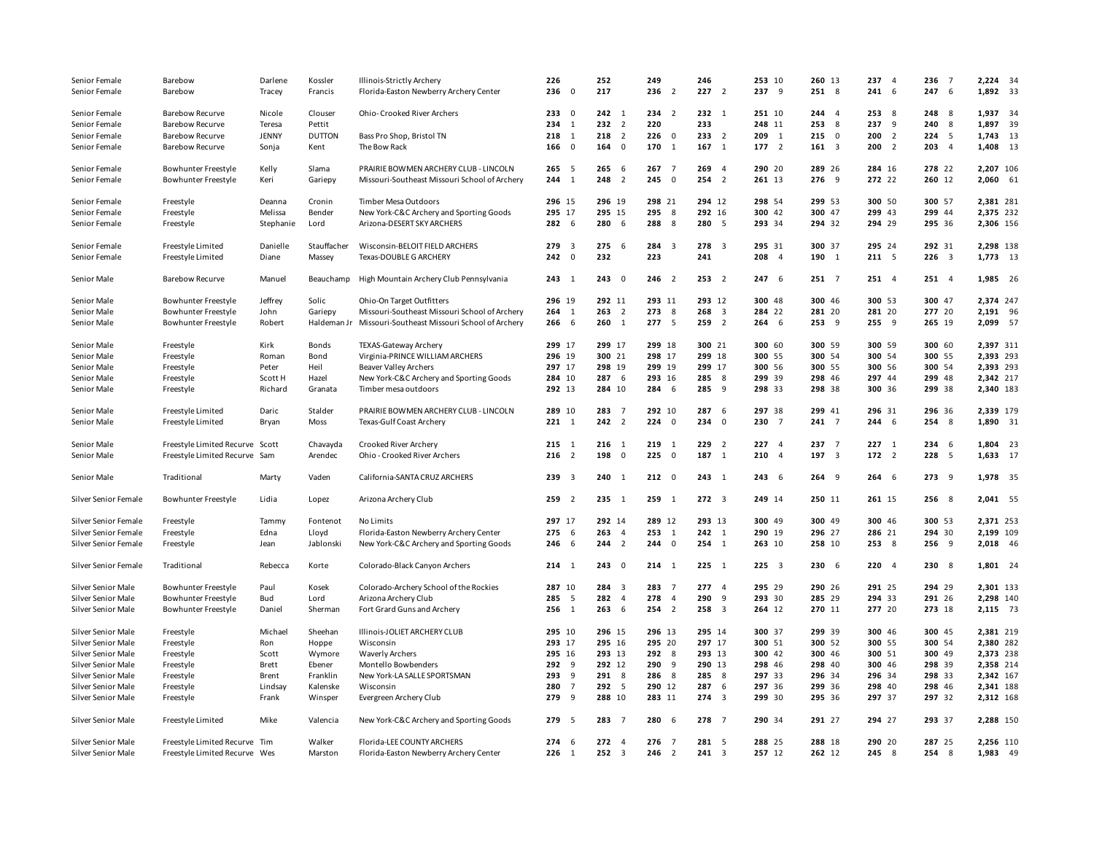| Senior Female        | Barebow                         | Darlene      | Kossler       | Illinois-Strictly Archery                     | 226                            |                         | 252                            | 249     |                         | 246                            | 253 10    | 260 13        | 237 4      | 236       | $\overline{7}$ | 2,224 34  |  |
|----------------------|---------------------------------|--------------|---------------|-----------------------------------------------|--------------------------------|-------------------------|--------------------------------|---------|-------------------------|--------------------------------|-----------|---------------|------------|-----------|----------------|-----------|--|
| Senior Female        | Barebow                         | Tracey       | Francis       | Florida-Easton Newberry Archery Center        | 236                            | 0                       | 217                            | 236     | $\overline{2}$          | 227<br>$\overline{2}$          | 237 9     | 251 8         | $241 \t6$  | 247       | 6              | 1,892 33  |  |
|                      |                                 |              |               |                                               |                                |                         |                                |         |                         |                                |           |               |            |           |                |           |  |
| Senior Female        | <b>Barebow Recurve</b>          | Nicole       | Clouser       | Ohio-Crooked River Archers                    | 23300                          |                         | $242 \quad 1$                  | $234$ 2 |                         | $232 \t1$                      | 251 10    | $244$ 4       | 253 8      | 248       | 8              | 1,937 34  |  |
| Senior Female        | <b>Barebow Recurve</b>          | Teresa       | Pettit        |                                               | 234                            | $\overline{1}$          | $232 \t2$                      | 220     |                         | 233                            | 248 11    | 25388         | $237 - 9$  | 240       | 8              | 1,897 39  |  |
| Senior Female        | <b>Barebow Recurve</b>          | JENNY        | <b>DUTTON</b> | Bass Pro Shop, Bristol TN                     | 218                            | 1                       | 218<br>$\overline{2}$          | 226     | $\overline{\mathbf{0}}$ | 233<br>$\overline{2}$          | 209 1     | 2150          | $200$ 2    | 224       | 5              | 1,743 13  |  |
| Senior Female        | <b>Barebow Recurve</b>          | Sonja        | Kent          | The Bow Rack                                  | 166                            | $\overline{\mathbf{0}}$ | 164<br>$\overline{\mathbf{0}}$ | 170     | 1                       | 167<br>$\overline{1}$          | 177 2     | $161 \quad 3$ | $200 \t 2$ | 203       | $\overline{4}$ | 1,408 13  |  |
|                      |                                 |              |               |                                               |                                |                         |                                |         |                         |                                |           |               |            |           |                |           |  |
| Senior Female        | Bowhunter Freestyle             | Kelly        | Slama         | PRAIRIE BOWMEN ARCHERY CLUB - LINCOLN         | 265 5                          |                         | 265<br>6                       | 267     | $\overline{7}$          | 269<br>$\overline{4}$          | 290 20    | 289 26        | 284 16     | 278 22    |                | 2,207 106 |  |
| Senior Female        | <b>Bowhunter Freestyle</b>      | Keri         | Gariepy       | Missouri-Southeast Missouri School of Archery | $244$ 1                        |                         | 248<br>$\overline{2}$          | 245     | $\overline{\mathbf{0}}$ | $254$ 2                        | 261 13    | 276 9         | 272 22     | 260 12    |                | 2,060 61  |  |
|                      |                                 |              |               |                                               |                                |                         |                                |         |                         |                                |           |               |            |           |                |           |  |
| Senior Female        | Freestyle                       | Deanna       | Cronin        | Timber Mesa Outdoors                          | 296 15                         |                         | 296 19                         | 298 21  |                         | 294 12                         | 298 54    | 299 53        | 300 50     | 300 57    |                | 2,381 281 |  |
| Senior Female        | Freestyle                       | Melissa      | Bender        | New York-C&C Archery and Sporting Goods       | 295 17                         |                         | 295 15                         | 295     | 8                       | 292 16                         | 300 42    | 300 47        | 299 43     | 299 44    |                | 2,375 232 |  |
| Senior Female        | Freestyle                       | Stephanie    | Lord          | Arizona-DESERT SKY ARCHERS                    | 282 6                          |                         | 280 6                          | 288     | 8                       | 280 5                          | 293 34    | 294 32        | 294 29     | 295 36    |                | 2,306 156 |  |
|                      |                                 |              |               |                                               |                                |                         |                                |         |                         |                                |           |               |            |           |                |           |  |
| Senior Female        | Freestyle Limited               | Danielle     | Stauffacher   | Wisconsin-BELOIT FIELD ARCHERS                | 279<br>$\overline{\mathbf{3}}$ |                         | 275<br>6                       | 284     | $\overline{\mathbf{3}}$ | 278<br>$\overline{\mathbf{3}}$ | 295 31    | 300 37        | 295 24     | 292 31    |                | 2,298 138 |  |
| Senior Female        | Freestyle Limited               | Diane        | Massey        | Texas-DOUBLE G ARCHERY                        | $242 \t0$                      |                         | 232                            | 223     |                         | 241                            | 208 4     | 190 1         | 211 5      | $226 \t3$ |                | 1,773 13  |  |
|                      |                                 |              |               |                                               |                                |                         |                                |         |                         |                                |           |               |            |           |                |           |  |
| Senior Male          | <b>Barebow Recurve</b>          | Manuel       | Beauchamp     | High Mountain Archery Club Pennsylvania       | $243 \quad 1$                  |                         | 2430                           | 246 2   |                         | 253 2                          | 247 6     | 251 7         | 251 4      | 251 4     |                | 1,985 26  |  |
|                      |                                 |              |               |                                               |                                |                         |                                |         |                         |                                |           |               |            |           |                |           |  |
| Senior Male          | <b>Bowhunter Freestyle</b>      | Jeffrey      | Solic         | Ohio-On Target Outfitters                     | 296 19                         |                         | 292 11                         | 293 11  |                         | 293 12                         | 300 48    | 300 46        | 300 53     | 300 47    |                | 2,374 247 |  |
| Senior Male          | <b>Bowhunter Freestyle</b>      | John         | Gariepy       | Missouri-Southeast Missouri School of Archery | $264$ 1                        |                         | 263<br>$\overline{2}$          | 273     | 8                       | 268<br>$\overline{\mathbf{3}}$ | 284 22    | 281 20        | 281 20     | 277 20    |                | 2,191 96  |  |
| Senior Male          | <b>Bowhunter Freestyle</b>      | Robert       | Haldeman Jr   | Missouri-Southeast Missouri School of Archery | 266 6                          |                         | $260 \t1$                      | 277 5   |                         | 259 2                          | 264 6     | $253 - 9$     | $255 - 9$  | 265 19    |                | 2,099 57  |  |
|                      |                                 |              |               |                                               |                                |                         |                                |         |                         |                                |           |               |            |           |                |           |  |
| Senior Male          | Freestyle                       | Kirk         | Bonds         | TEXAS-Gateway Archery                         | 299 17                         |                         | 299 17                         | 299 18  |                         | 300 21                         | 300 60    | 300 59        | 300 59     | 300 60    |                | 2,397 311 |  |
| Senior Male          | Freestyle                       | Roman        | Bond          | Virginia-PRINCE WILLIAM ARCHERS               | 296 19                         |                         | 300 21                         | 298 17  |                         | 299 18                         | 300 55    | 300 54        | 300 54     | 300 55    |                | 2,393 293 |  |
| Senior Male          | Freestyle                       | Peter        | Heil          | Beaver Valley Archers                         | 297 17                         |                         | 298 19                         | 299 19  |                         | 299 17                         | 300 56    | 300 55        | 300 56     | 300 54    |                | 2,393 293 |  |
| Senior Male          | Freestyle                       | Scott H      | Hazel         | New York-C&C Archery and Sporting Goods       | 284 10                         |                         | 287 6                          | 293 16  |                         | 285<br>8                       | 299 39    | 298 46        | 297 44     | 299 48    |                | 2,342 217 |  |
| Senior Male          | Freestyle                       | Richard      | Granata       | Timber mesa outdoors                          | 292 13                         |                         | 284 10                         | 284     | - 6                     | 285<br>- 9                     | 298 33    | 298 38        | 300 36     | 299 38    |                | 2,340 183 |  |
|                      |                                 |              |               |                                               |                                |                         |                                |         |                         |                                |           |               |            |           |                |           |  |
| Senior Male          | Freestyle Limited               | Daric        | Stalder       | PRAIRIE BOWMEN ARCHERY CLUB - LINCOLN         | 289 10                         |                         | 283<br>$\overline{7}$          | 292 10  |                         | 287<br>- 6                     | 297 38    | 299 41        | 296 31     | 296 36    |                | 2,339 179 |  |
| Senior Male          | Freestyle Limited               | Bryan        | Moss          | Texas-Gulf Coast Archery                      | $221 \t1$                      |                         | $242 \t2$                      | 224     | $\overline{\mathbf{0}}$ | 234<br>$\overline{\mathbf{0}}$ | 230 7     | 241 7         | 244 6      | 254 8     |                | 1,890 31  |  |
|                      |                                 |              |               |                                               |                                |                         |                                |         |                         |                                |           |               |            |           |                |           |  |
| Senior Male          | Freestyle Limited Recurve Scott |              | Chavayda      | Crooked River Archery                         | $215 \t1$                      |                         | $216 \t1$                      | 219     | $\overline{1}$          | 229<br>$\overline{2}$          | $227 - 4$ | 237 7         | $227 \t1$  | $234 \t6$ |                | 1,804 23  |  |
| Senior Male          | Freestyle Limited Recurve Sam   |              | Arendec       | Ohio - Crooked River Archers                  | $216$ 2                        |                         | 198<br>$\overline{\mathbf{0}}$ | 225     | $\overline{\mathbf{0}}$ | 187<br>$\overline{1}$          | 210 4     | 197 3         | 172 2      | 228       | 5              | 1,633 17  |  |
|                      |                                 |              |               |                                               |                                |                         |                                |         |                         |                                |           |               |            |           |                |           |  |
| Senior Male          | Traditional                     | Marty        | Vaden         | California-SANTA CRUZ ARCHERS                 | 239 3                          |                         | $240 \t1$                      | 21200   |                         | 243 1                          | 2436      | $264$ 9       | 2646       | 273 9     |                | 1,978 35  |  |
|                      |                                 |              |               |                                               |                                |                         |                                |         |                         |                                |           |               |            |           |                |           |  |
| Silver Senior Female | Bowhunter Freestyle             | Lidia        | Lopez         | Arizona Archery Club                          | 259 2                          |                         | 235 1                          | $259$ 1 |                         | $272 \t3$                      | 249 14    | 250 11        | 261 15     | 256 8     |                | 2,041 55  |  |
|                      |                                 |              |               |                                               |                                |                         |                                |         |                         |                                |           |               |            |           |                |           |  |
| Silver Senior Female | Freestyle                       | Tammy        | Fontenot      | No Limits                                     | 297 17                         |                         | 292 14                         | 289 12  |                         | 293 13                         | 300 49    | 300 49        | 300 46     | 300 53    |                | 2,371 253 |  |
| Silver Senior Female | Freestyle                       | Edna         | Lloyd         | Florida-Easton Newberry Archery Center        | 2756                           |                         | 263<br>$\overline{4}$          | 253     | $\overline{1}$          | $242 \quad 1$                  | 290 19    | 296 27        | 286 21     | 294 30    |                | 2,199 109 |  |
| Silver Senior Female | Freestyle                       | Jean         | Jablonski     | New York-C&C Archery and Sporting Goods       | 246                            | - 6                     | $244$ 2                        | 244     | $\overline{\mathbf{0}}$ | 254 1                          | 263 10    | 258 10        | 253 8      | 256 9     |                | 2,018 46  |  |
|                      |                                 |              |               |                                               |                                |                         |                                |         |                         |                                |           |               |            |           |                |           |  |
| Silver Senior Female | Traditional                     | Rebecca      | Korte         | Colorado-Black Canyon Archers                 | $214 \quad 1$                  |                         | 2430                           | $214$ 1 |                         | $225 \t1$                      | $225 \t3$ | 230 6         | $220 - 4$  | 230 8     |                | 1,801 24  |  |
|                      |                                 |              |               |                                               |                                |                         |                                |         |                         |                                |           |               |            |           |                |           |  |
| Silver Senior Male   | <b>Bowhunter Freestyle</b>      | Paul         | Kosek         | Colorado-Archery School of the Rockies        | 287 10                         |                         | 284 3                          | 283     | $\overline{7}$          | 277<br>$\overline{4}$          | 295 29    | 290 26        | 291 25     | 294 29    |                | 2,301 133 |  |
| Silver Senior Male   | <b>Bowhunter Freestyle</b>      | Bud          | Lord          | Arizona Archery Club                          | 285                            | 5                       | 282<br>$\overline{4}$          | 278     | $\overline{4}$          | 290<br>9                       | 293 30    | 285 29        | 294 33     | 291 26    |                | 2,298 140 |  |
| Silver Senior Male   | <b>Bowhunter Freestyle</b>      | Daniel       | Sherman       | Fort Grard Guns and Archery                   | 256<br>$\overline{1}$          |                         | 263<br>6                       | 254     | $\overline{2}$          | 258<br>$\overline{\mathbf{3}}$ | 264 12    | 270 11        | 277 20     | 273 18    |                | 2,115 73  |  |
|                      |                                 |              |               |                                               |                                |                         |                                |         |                         |                                |           |               |            |           |                |           |  |
| Silver Senior Male   | Freestyle                       | Michael      | Sheehan       | Illinois-JOLIET ARCHERY CLUB                  | 295 10                         |                         | 296 15                         | 296 13  |                         | 295 14                         | 300 37    | 299 39        | 300 46     | 300 45    |                | 2,381 219 |  |
| Silver Senior Male   | Freestyle                       | Ron          | Hoppe         | Wisconsin                                     | 293 17                         |                         | 295 16                         | 295 20  |                         | 297 17                         | 300 51    | 300 52        | 300 55     | 300 54    |                | 2,380 282 |  |
| Silver Senior Male   | Freestyle                       | Scott        | Wymore        | <b>Waverly Archers</b>                        | 295 16                         |                         | 293 13                         | 292 8   |                         | 293 13                         | 300 42    | 300 46        | 300 51     | 300 49    |                | 2,373 238 |  |
| Silver Senior Male   | Freestyle                       | <b>Brett</b> | Ebener        | Montello Bowbenders                           | 292 9                          |                         | 292 12                         | 290     | 9                       | 290 13                         | 298 46    | 298 40        | 300 46     | 298 39    |                | 2,358 214 |  |
| Silver Senior Male   | Freestyle                       | Brent        | Franklin      | New York-LA SALLE SPORTSMAN                   | 293                            | 9                       | 291 8                          | 286     | 8                       | 285<br>8                       | 297 33    | 296 34        | 296 34     | 298 33    |                | 2,342 167 |  |
| Silver Senior Male   | Freestyle                       | Lindsay      | Kalenske      | Wisconsin                                     | 280                            | $\overline{7}$          | 292 5                          | 290 12  |                         | 287<br>6                       | 297 36    | 299 36        | 298 40     | 298 46    |                | 2,341 188 |  |
| Silver Senior Male   | Freestyle                       | Frank        | Winsper       | Evergreen Archery Club                        | 279                            | 9                       | 288 10                         | 283 11  |                         | $274 - 3$                      | 299 30    | 295 36        | 297 37     | 297 32    |                | 2,312 168 |  |
|                      |                                 |              |               |                                               |                                |                         |                                |         |                         |                                |           |               |            |           |                |           |  |
| Silver Senior Male   | Freestyle Limited               | Mike         | Valencia      | New York-C&C Archery and Sporting Goods       | 279 5                          |                         | 283 7                          | 280 6   |                         | 278 7                          | 290 34    | 291 27        | 294 27     | 293 37    |                | 2,288 150 |  |
|                      |                                 |              |               |                                               |                                |                         |                                |         |                         |                                |           |               |            |           |                |           |  |
| Silver Senior Male   | Freestyle Limited Recurve Tim   |              | Walker        | Florida-LEE COUNTY ARCHERS                    | 2746                           |                         | $272 \t4$                      | 276 7   |                         | 281 5                          | 288 25    | 288 18        | 290 20     | 287 25    |                | 2,256 110 |  |
| Silver Senior Male   | Freestyle Limited Recurve Wes   |              | Marston       | Florida-Easton Newberry Archery Center        | 226<br>$\overline{1}$          |                         | $252 \t3$                      | 246     | $\overline{2}$          | $241 \quad 3$                  | 257 12    | 262 12        | 245 8      | 254 8     |                | 1,983 49  |  |